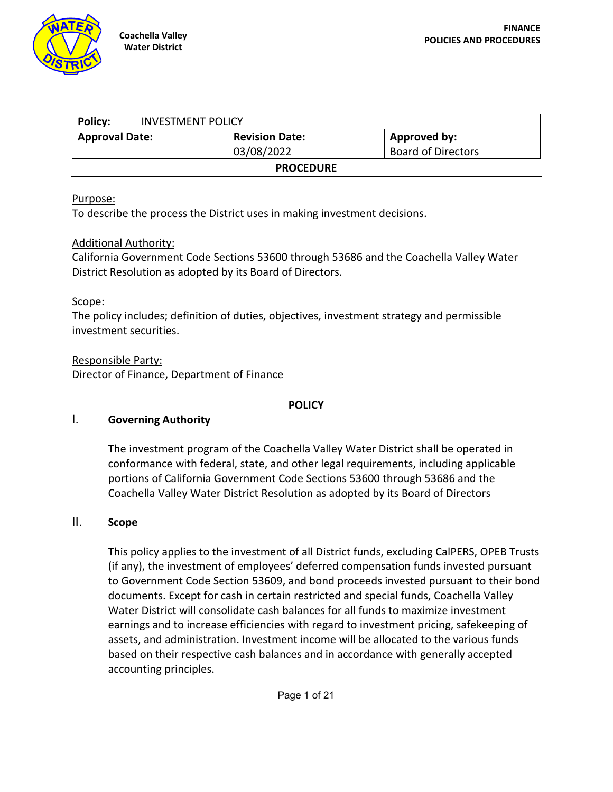

| Policy:               | <b>INVESTMENT POLICY</b> |                       |                           |  |  |  |  |
|-----------------------|--------------------------|-----------------------|---------------------------|--|--|--|--|
| <b>Approval Date:</b> |                          | <b>Revision Date:</b> | <b>Approved by:</b>       |  |  |  |  |
|                       |                          | 03/08/2022            | <b>Board of Directors</b> |  |  |  |  |
| <b>PROCEDURE</b>      |                          |                       |                           |  |  |  |  |

#### Purpose:

To describe the process the District uses in making investment decisions.

### Additional Authority:

California Government Code Sections 53600 through 53686 and the Coachella Valley Water District Resolution as adopted by its Board of Directors.

### Scope:

The policy includes; definition of duties, objectives, investment strategy and permissible investment securities.

### Responsible Party:

Director of Finance, Department of Finance

#### **POLICY**

#### I. **Governing Authority**

The investment program of the Coachella Valley Water District shall be operated in conformance with federal, state, and other legal requirements, including applicable portions of California Government Code Sections 53600 through 53686 and the Coachella Valley Water District Resolution as adopted by its Board of Directors

### II. **Scope**

This policy applies to the investment of all District funds, excluding CalPERS, OPEB Trusts (if any), the investment of employees' deferred compensation funds invested pursuant to Government Code Section 53609, and bond proceeds invested pursuant to their bond documents. Except for cash in certain restricted and special funds, Coachella Valley Water District will consolidate cash balances for all funds to maximize investment earnings and to increase efficiencies with regard to investment pricing, safekeeping of assets, and administration. Investment income will be allocated to the various funds based on their respective cash balances and in accordance with generally accepted accounting principles.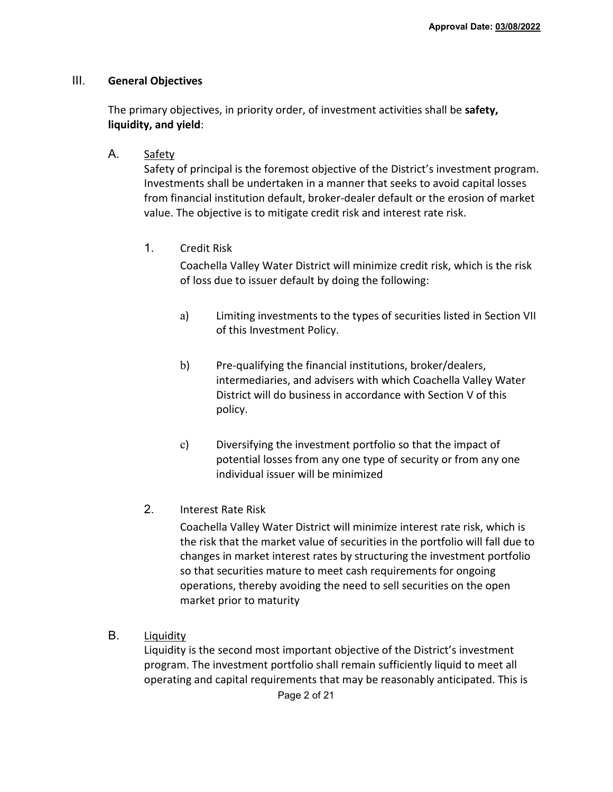### III. **General Objectives**

The primary objectives, in priority order, of investment activities shall be **safety, liquidity, and yield**:

A. Safety

Safety of principal is the foremost objective of the District's investment program. Investments shall be undertaken in a manner that seeks to avoid capital losses from financial institution default, broker-dealer default or the erosion of market value. The objective is to mitigate credit risk and interest rate risk.

1. Credit Risk

Coachella Valley Water District will minimize credit risk, which is the risk of loss due to issuer default by doing the following:

- a) Limiting investments to the types of securities listed in Section VII of this Investment Policy.
- b) Pre-qualifying the financial institutions, broker/dealers, intermediaries, and advisers with which Coachella Valley Water District will do business in accordance with Section V of this policy.
- c) Diversifying the investment portfolio so that the impact of potential losses from any one type of security or from any one individual issuer will be minimized
- 2. Interest Rate Risk

Coachella Valley Water District will minimize interest rate risk, which is the risk that the market value of securities in the portfolio will fall due to changes in market interest rates by structuring the investment portfolio so that securities mature to meet cash requirements for ongoing operations, thereby avoiding the need to sell securities on the open market prior to maturity

B. Liquidity

Liquidity is the second most important objective of the District's investment program. The investment portfolio shall remain sufficiently liquid to meet all operating and capital requirements that may be reasonably anticipated. This is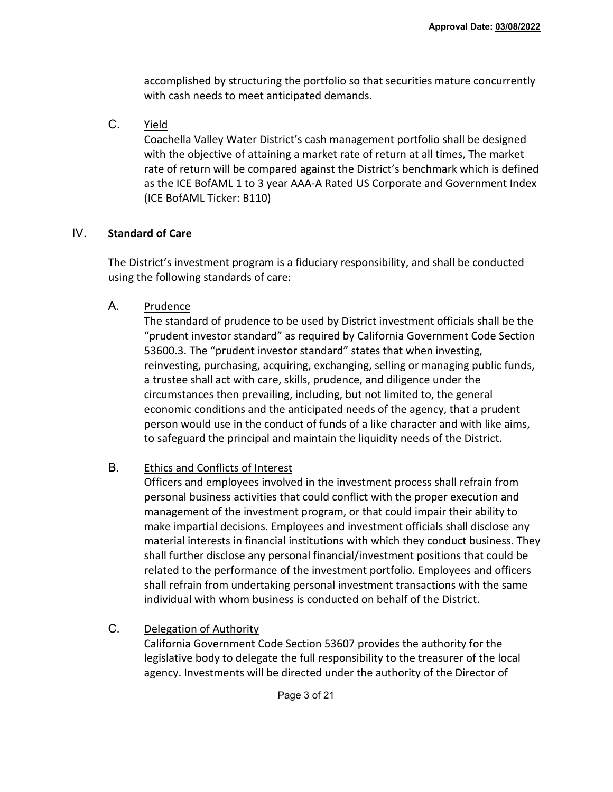accomplished by structuring the portfolio so that securities mature concurrently with cash needs to meet anticipated demands.

C. Yield

Coachella Valley Water District's cash management portfolio shall be designed with the objective of attaining a market rate of return at all times, The market rate of return will be compared against the District's benchmark which is defined as the ICE BofAML 1 to 3 year AAA-A Rated US Corporate and Government Index (ICE BofAML Ticker: B110)

### IV. **Standard of Care**

The District's investment program is a fiduciary responsibility, and shall be conducted using the following standards of care:

A. Prudence

The standard of prudence to be used by District investment officials shall be the "prudent investor standard" as required by California Government Code Section 53600.3. The "prudent investor standard" states that when investing, reinvesting, purchasing, acquiring, exchanging, selling or managing public funds, a trustee shall act with care, skills, prudence, and diligence under the circumstances then prevailing, including, but not limited to, the general economic conditions and the anticipated needs of the agency, that a prudent person would use in the conduct of funds of a like character and with like aims, to safeguard the principal and maintain the liquidity needs of the District.

## B. Ethics and Conflicts of Interest

Officers and employees involved in the investment process shall refrain from personal business activities that could conflict with the proper execution and management of the investment program, or that could impair their ability to make impartial decisions. Employees and investment officials shall disclose any material interests in financial institutions with which they conduct business. They shall further disclose any personal financial/investment positions that could be related to the performance of the investment portfolio. Employees and officers shall refrain from undertaking personal investment transactions with the same individual with whom business is conducted on behalf of the District.

C. Delegation of Authority

California Government Code Section 53607 provides the authority for the legislative body to delegate the full responsibility to the treasurer of the local agency. Investments will be directed under the authority of the Director of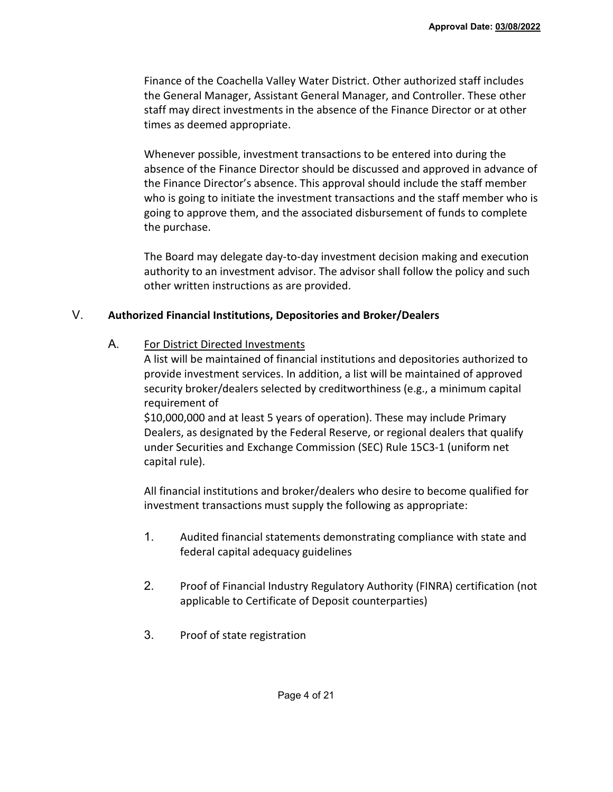Finance of the Coachella Valley Water District. Other authorized staff includes the General Manager, Assistant General Manager, and Controller. These other staff may direct investments in the absence of the Finance Director or at other times as deemed appropriate.

Whenever possible, investment transactions to be entered into during the absence of the Finance Director should be discussed and approved in advance of the Finance Director's absence. This approval should include the staff member who is going to initiate the investment transactions and the staff member who is going to approve them, and the associated disbursement of funds to complete the purchase.

The Board may delegate day-to-day investment decision making and execution authority to an investment advisor. The advisor shall follow the policy and such other written instructions as are provided.

## V. **Authorized Financial Institutions, Depositories and Broker/Dealers**

A. For District Directed Investments

A list will be maintained of financial institutions and depositories authorized to provide investment services. In addition, a list will be maintained of approved security broker/dealers selected by creditworthiness (e.g., a minimum capital requirement of

\$10,000,000 and at least 5 years of operation). These may include Primary Dealers, as designated by the Federal Reserve, or regional dealers that qualify under Securities and Exchange Commission (SEC) Rule 15C3-1 (uniform net capital rule).

All financial institutions and broker/dealers who desire to become qualified for investment transactions must supply the following as appropriate:

- 1. Audited financial statements demonstrating compliance with state and federal capital adequacy guidelines
- 2. Proof of Financial Industry Regulatory Authority (FINRA) certification (not applicable to Certificate of Deposit counterparties)
- 3. Proof of state registration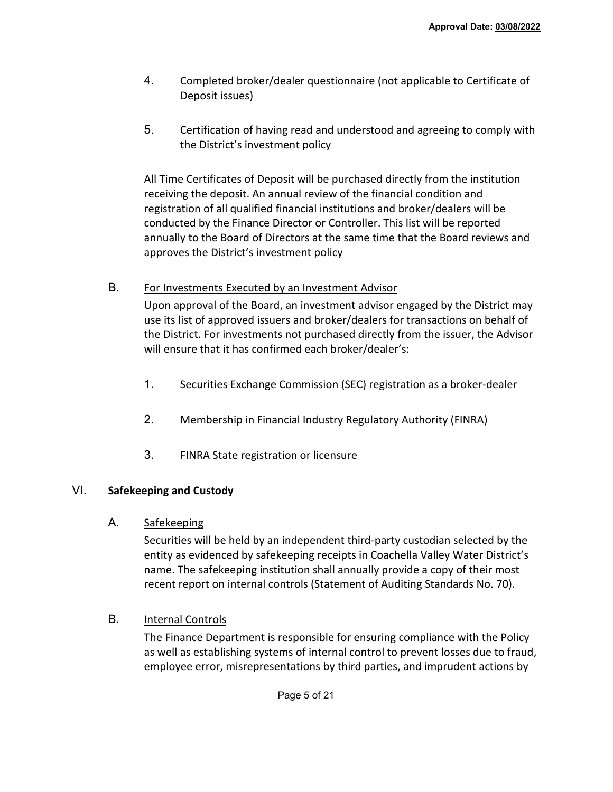- 4. Completed broker/dealer questionnaire (not applicable to Certificate of Deposit issues)
- 5. Certification of having read and understood and agreeing to comply with the District's investment policy

All Time Certificates of Deposit will be purchased directly from the institution receiving the deposit. An annual review of the financial condition and registration of all qualified financial institutions and broker/dealers will be conducted by the Finance Director or Controller. This list will be reported annually to the Board of Directors at the same time that the Board reviews and approves the District's investment policy

B. For Investments Executed by an Investment Advisor

Upon approval of the Board, an investment advisor engaged by the District may use its list of approved issuers and broker/dealers for transactions on behalf of the District. For investments not purchased directly from the issuer, the Advisor will ensure that it has confirmed each broker/dealer's:

- 1. Securities Exchange Commission (SEC) registration as a broker-dealer
- 2. Membership in Financial Industry Regulatory Authority (FINRA)
- 3. FINRA State registration or licensure

## VI. **Safekeeping and Custody**

A. Safekeeping

Securities will be held by an independent third-party custodian selected by the entity as evidenced by safekeeping receipts in Coachella Valley Water District's name. The safekeeping institution shall annually provide a copy of their most recent report on internal controls (Statement of Auditing Standards No. 70).

## B. Internal Controls

The Finance Department is responsible for ensuring compliance with the Policy as well as establishing systems of internal control to prevent losses due to fraud, employee error, misrepresentations by third parties, and imprudent actions by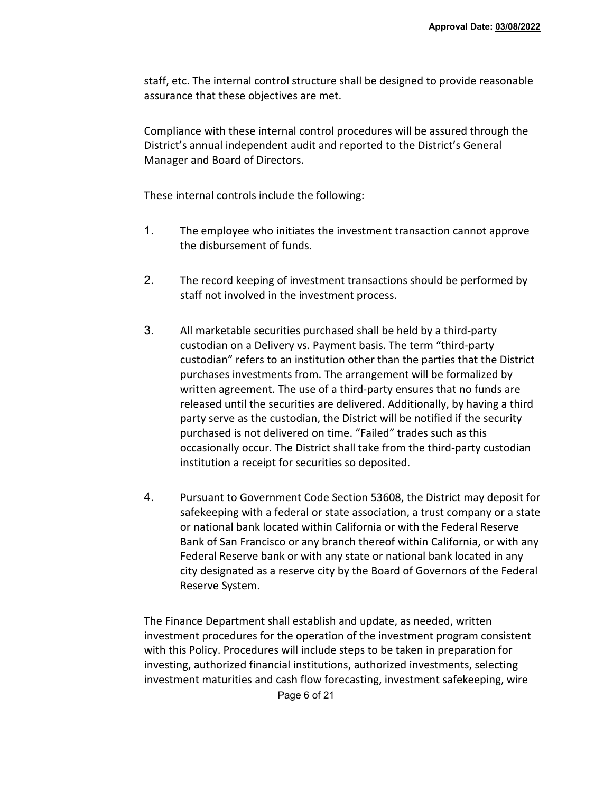staff, etc. The internal control structure shall be designed to provide reasonable assurance that these objectives are met.

Compliance with these internal control procedures will be assured through the District's annual independent audit and reported to the District's General Manager and Board of Directors.

These internal controls include the following:

- 1. The employee who initiates the investment transaction cannot approve the disbursement of funds.
- 2. The record keeping of investment transactions should be performed by staff not involved in the investment process.
- 3. All marketable securities purchased shall be held by a third-party custodian on a Delivery vs. Payment basis. The term "third-party custodian" refers to an institution other than the parties that the District purchases investments from. The arrangement will be formalized by written agreement. The use of a third-party ensures that no funds are released until the securities are delivered. Additionally, by having a third party serve as the custodian, the District will be notified if the security purchased is not delivered on time. "Failed" trades such as this occasionally occur. The District shall take from the third-party custodian institution a receipt for securities so deposited.
- 4. Pursuant to Government Code Section 53608, the District may deposit for safekeeping with a federal or state association, a trust company or a state or national bank located within California or with the Federal Reserve Bank of San Francisco or any branch thereof within California, or with any Federal Reserve bank or with any state or national bank located in any city designated as a reserve city by the Board of Governors of the Federal Reserve System.

The Finance Department shall establish and update, as needed, written investment procedures for the operation of the investment program consistent with this Policy. Procedures will include steps to be taken in preparation for investing, authorized financial institutions, authorized investments, selecting investment maturities and cash flow forecasting, investment safekeeping, wire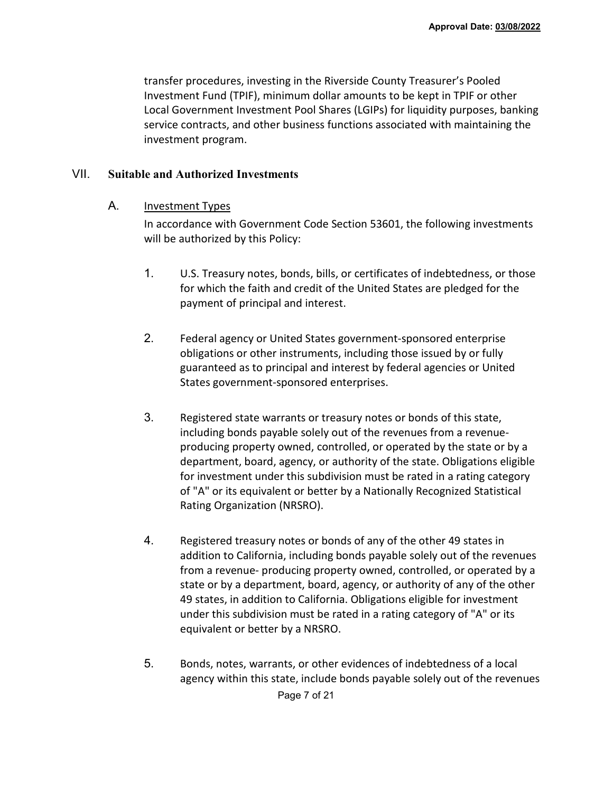transfer procedures, investing in the Riverside County Treasurer's Pooled Investment Fund (TPIF), minimum dollar amounts to be kept in TPIF or other Local Government Investment Pool Shares (LGIPs) for liquidity purposes, banking service contracts, and other business functions associated with maintaining the investment program.

### VII. **Suitable and Authorized Investments**

A. Investment Types

In accordance with Government Code Section 53601, the following investments will be authorized by this Policy:

- 1. U.S. Treasury notes, bonds, bills, or certificates of indebtedness, or those for which the faith and credit of the United States are pledged for the payment of principal and interest.
- 2. Federal agency or United States government-sponsored enterprise obligations or other instruments, including those issued by or fully guaranteed as to principal and interest by federal agencies or United States government-sponsored enterprises.
- 3. Registered state warrants or treasury notes or bonds of this state, including bonds payable solely out of the revenues from a revenueproducing property owned, controlled, or operated by the state or by a department, board, agency, or authority of the state. Obligations eligible for investment under this subdivision must be rated in a rating category of "A" or its equivalent or better by a Nationally Recognized Statistical Rating Organization (NRSRO).
- 4. Registered treasury notes or bonds of any of the other 49 states in addition to California, including bonds payable solely out of the revenues from a revenue- producing property owned, controlled, or operated by a state or by a department, board, agency, or authority of any of the other 49 states, in addition to California. Obligations eligible for investment under this subdivision must be rated in a rating category of "A" or its equivalent or better by a NRSRO.
- 5. Bonds, notes, warrants, or other evidences of indebtedness of a local agency within this state, include bonds payable solely out of the revenues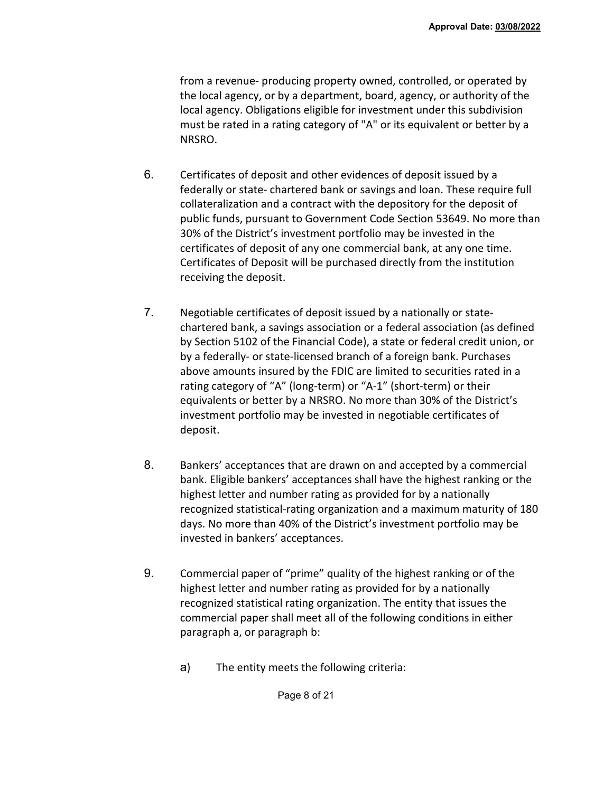from a revenue- producing property owned, controlled, or operated by the local agency, or by a department, board, agency, or authority of the local agency. Obligations eligible for investment under this subdivision must be rated in a rating category of "A" or its equivalent or better by a NRSRO.

- 6. Certificates of deposit and other evidences of deposit issued by a federally or state- chartered bank or savings and loan. These require full collateralization and a contract with the depository for the deposit of public funds, pursuant to Government Code Section 53649. No more than 30% of the District's investment portfolio may be invested in the certificates of deposit of any one commercial bank, at any one time. Certificates of Deposit will be purchased directly from the institution receiving the deposit.
- 7. Negotiable certificates of deposit issued by a nationally or statechartered bank, a savings association or a federal association (as defined by Section 5102 of the Financial Code), a state or federal credit union, or by a federally- or state-licensed branch of a foreign bank. Purchases above amounts insured by the FDIC are limited to securities rated in a rating category of "A" (long-term) or "A-1" (short-term) or their equivalents or better by a NRSRO. No more than 30% of the District's investment portfolio may be invested in negotiable certificates of deposit.
- 8. Bankers' acceptances that are drawn on and accepted by a commercial bank. Eligible bankers' acceptances shall have the highest ranking or the highest letter and number rating as provided for by a nationally recognized statistical-rating organization and a maximum maturity of 180 days. No more than 40% of the District's investment portfolio may be invested in bankers' acceptances.
- 9. Commercial paper of "prime" quality of the highest ranking or of the highest letter and number rating as provided for by a nationally recognized statistical rating organization. The entity that issues the commercial paper shall meet all of the following conditions in either paragraph a, or paragraph b:
	- a) The entity meets the following criteria: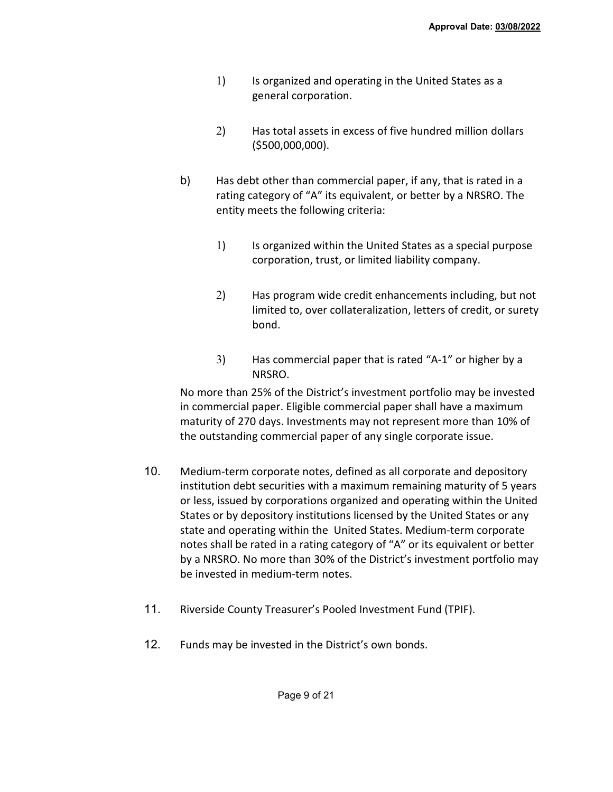- 1) Is organized and operating in the United States as a general corporation.
- 2) Has total assets in excess of five hundred million dollars (\$500,000,000).
- b) Has debt other than commercial paper, if any, that is rated in a rating category of "A" its equivalent, or better by a NRSRO. The entity meets the following criteria:
	- 1) Is organized within the United States as a special purpose corporation, trust, or limited liability company.
	- 2) Has program wide credit enhancements including, but not limited to, over collateralization, letters of credit, or surety bond.
	- 3) Has commercial paper that is rated "A-1" or higher by a NRSRO.

No more than 25% of the District's investment portfolio may be invested in commercial paper. Eligible commercial paper shall have a maximum maturity of 270 days. Investments may not represent more than 10% of the outstanding commercial paper of any single corporate issue.

- 10. Medium-term corporate notes, defined as all corporate and depository institution debt securities with a maximum remaining maturity of 5 years or less, issued by corporations organized and operating within the United States or by depository institutions licensed by the United States or any state and operating within the United States. Medium-term corporate notes shall be rated in a rating category of "A" or its equivalent or better by a NRSRO. No more than 30% of the District's investment portfolio may be invested in medium-term notes.
- 11. Riverside County Treasurer's Pooled Investment Fund (TPIF).
- 12. Funds may be invested in the District's own bonds.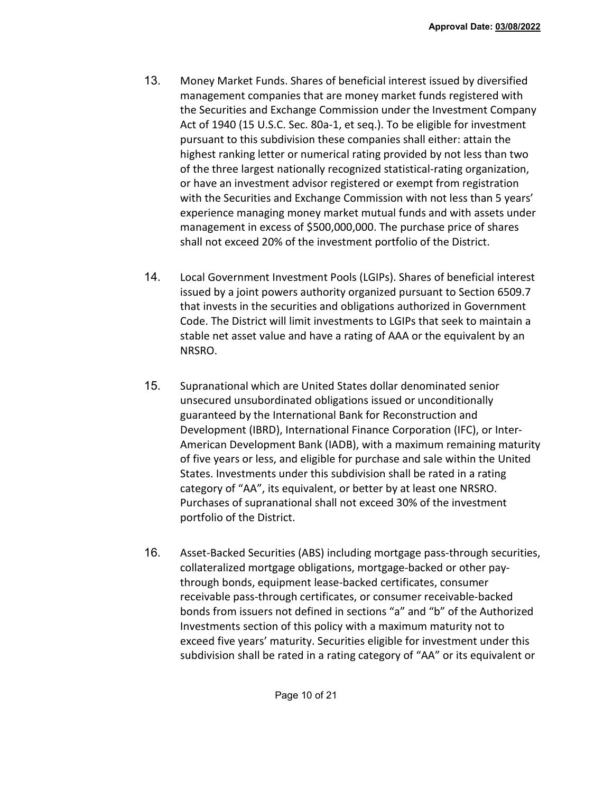- 13. Money Market Funds. Shares of beneficial interest issued by diversified management companies that are money market funds registered with the Securities and Exchange Commission under the Investment Company Act of 1940 (15 U.S.C. Sec. 80a-1, et seq.). To be eligible for investment pursuant to this subdivision these companies shall either: attain the highest ranking letter or numerical rating provided by not less than two of the three largest nationally recognized statistical-rating organization, or have an investment advisor registered or exempt from registration with the Securities and Exchange Commission with not less than 5 years' experience managing money market mutual funds and with assets under management in excess of \$500,000,000. The purchase price of shares shall not exceed 20% of the investment portfolio of the District.
- 14. Local Government Investment Pools (LGIPs). Shares of beneficial interest issued by a joint powers authority organized pursuant to Section 6509.7 that invests in the securities and obligations authorized in Government Code. The District will limit investments to LGIPs that seek to maintain a stable net asset value and have a rating of AAA or the equivalent by an NRSRO.
- 15. Supranational which are United States dollar denominated senior unsecured unsubordinated obligations issued or unconditionally guaranteed by the International Bank for Reconstruction and Development (IBRD), International Finance Corporation (IFC), or Inter-American Development Bank (IADB), with a maximum remaining maturity of five years or less, and eligible for purchase and sale within the United States. Investments under this subdivision shall be rated in a rating category of "AA", its equivalent, or better by at least one NRSRO. Purchases of supranational shall not exceed 30% of the investment portfolio of the District.
- 16. Asset-Backed Securities (ABS) including mortgage pass-through securities, collateralized mortgage obligations, mortgage-backed or other paythrough bonds, equipment lease-backed certificates, consumer receivable pass-through certificates, or consumer receivable-backed bonds from issuers not defined in sections "a" and "b" of the Authorized Investments section of this policy with a maximum maturity not to exceed five years' maturity. Securities eligible for investment under this subdivision shall be rated in a rating category of "AA" or its equivalent or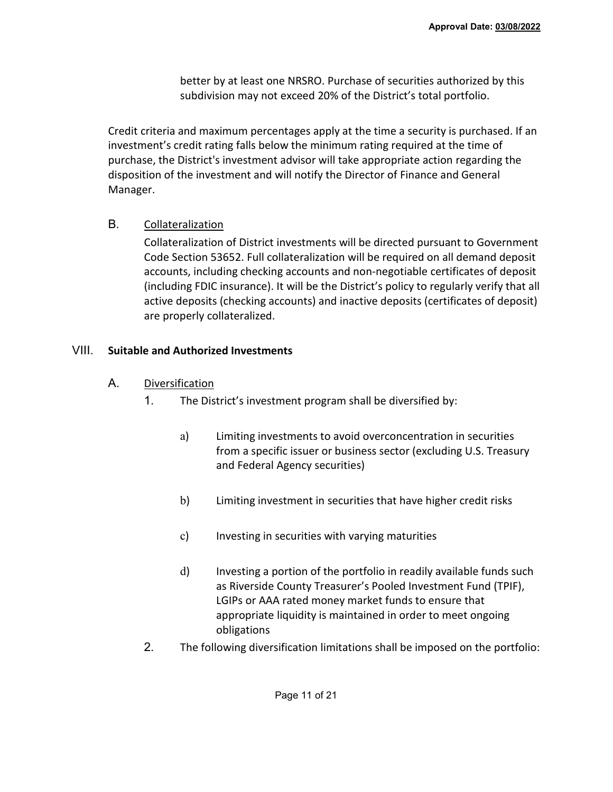better by at least one NRSRO. Purchase of securities authorized by this subdivision may not exceed 20% of the District's total portfolio.

Credit criteria and maximum percentages apply at the time a security is purchased. If an investment's credit rating falls below the minimum rating required at the time of purchase, the District's investment advisor will take appropriate action regarding the disposition of the investment and will notify the Director of Finance and General Manager.

B. Collateralization

Collateralization of District investments will be directed pursuant to Government Code Section 53652. Full collateralization will be required on all demand deposit accounts, including checking accounts and non-negotiable certificates of deposit (including FDIC insurance). It will be the District's policy to regularly verify that all active deposits (checking accounts) and inactive deposits (certificates of deposit) are properly collateralized.

## VIII. **Suitable and Authorized Investments**

- A. Diversification
	- 1. The District's investment program shall be diversified by:
		- a) Limiting investments to avoid overconcentration in securities from a specific issuer or business sector (excluding U.S. Treasury and Federal Agency securities)
		- b) Limiting investment in securities that have higher credit risks
		- c) Investing in securities with varying maturities
		- d) Investing a portion of the portfolio in readily available funds such as Riverside County Treasurer's Pooled Investment Fund (TPIF), LGIPs or AAA rated money market funds to ensure that appropriate liquidity is maintained in order to meet ongoing obligations
	- 2. The following diversification limitations shall be imposed on the portfolio: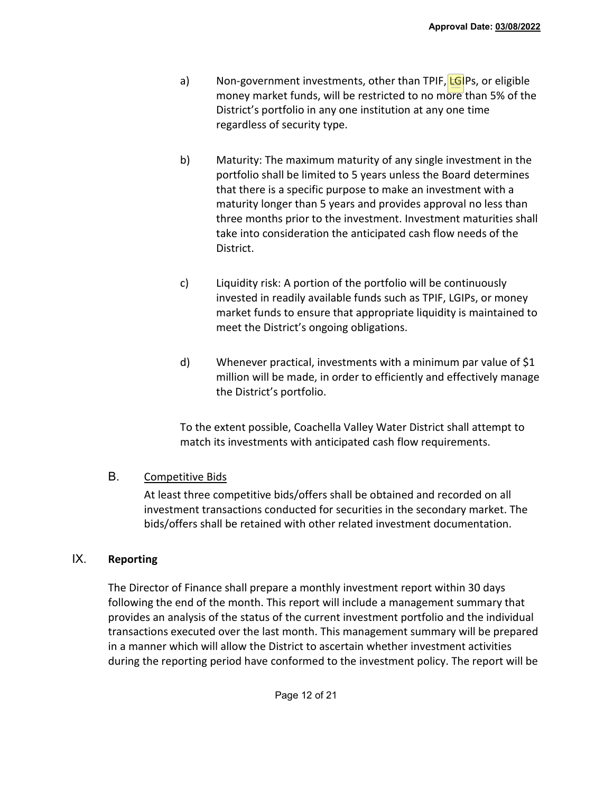- a) Non-government investments, other than TPIF, **LGIPs**, or eligible money market funds, will be restricted to no more than 5% of the District's portfolio in any one institution at any one time regardless of security type.
- b) Maturity: The maximum maturity of any single investment in the portfolio shall be limited to 5 years unless the Board determines that there is a specific purpose to make an investment with a maturity longer than 5 years and provides approval no less than three months prior to the investment. Investment maturities shall take into consideration the anticipated cash flow needs of the District.
- c) Liquidity risk: A portion of the portfolio will be continuously invested in readily available funds such as TPIF, LGIPs, or money market funds to ensure that appropriate liquidity is maintained to meet the District's ongoing obligations.
- d) Whenever practical, investments with a minimum par value of \$1 million will be made, in order to efficiently and effectively manage the District's portfolio.

To the extent possible, Coachella Valley Water District shall attempt to match its investments with anticipated cash flow requirements.

# B. Competitive Bids

At least three competitive bids/offers shall be obtained and recorded on all investment transactions conducted for securities in the secondary market. The bids/offers shall be retained with other related investment documentation.

# IX. **Reporting**

The Director of Finance shall prepare a monthly investment report within 30 days following the end of the month. This report will include a management summary that provides an analysis of the status of the current investment portfolio and the individual transactions executed over the last month. This management summary will be prepared in a manner which will allow the District to ascertain whether investment activities during the reporting period have conformed to the investment policy. The report will be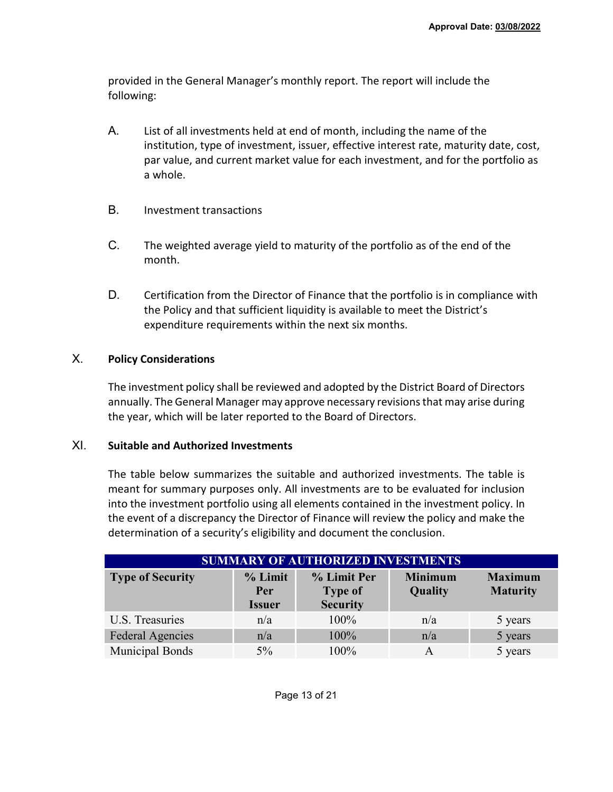provided in the General Manager's monthly report. The report will include the following:

- A. List of all investments held at end of month, including the name of the institution, type of investment, issuer, effective interest rate, maturity date, cost, par value, and current market value for each investment, and for the portfolio as a whole.
- B. Investment transactions
- C. The weighted average yield to maturity of the portfolio as of the end of the month.
- D. Certification from the Director of Finance that the portfolio is in compliance with the Policy and that sufficient liquidity is available to meet the District's expenditure requirements within the next six months.

# X. **Policy Considerations**

The investment policy shall be reviewed and adopted by the District Board of Directors annually. The General Manager may approve necessary revisions that may arise during the year, which will be later reported to the Board of Directors.

# XI. **Suitable and Authorized Investments**

The table below summarizes the suitable and authorized investments. The table is meant for summary purposes only. All investments are to be evaluated for inclusion into the investment portfolio using all elements contained in the investment policy. In the event of a discrepancy the Director of Finance will review the policy and make the determination of a security's eligibility and document the conclusion.

| <b>SUMMARY OF AUTHORIZED INVESTMENTS</b> |                                 |                                                  |                                  |                                   |  |  |  |  |
|------------------------------------------|---------------------------------|--------------------------------------------------|----------------------------------|-----------------------------------|--|--|--|--|
| <b>Type of Security</b>                  | % Limit<br>Per<br><b>Issuer</b> | % Limit Per<br><b>Type of</b><br><b>Security</b> | <b>Minimum</b><br><b>Quality</b> | <b>Maximum</b><br><b>Maturity</b> |  |  |  |  |
| U.S. Treasuries                          | n/a                             | 100%                                             | n/a                              | 5 years                           |  |  |  |  |
| <b>Federal Agencies</b>                  | n/a                             | 100%                                             | n/a                              | 5 years                           |  |  |  |  |
| <b>Municipal Bonds</b>                   | $5\%$                           | 100%                                             | A                                | 5 years                           |  |  |  |  |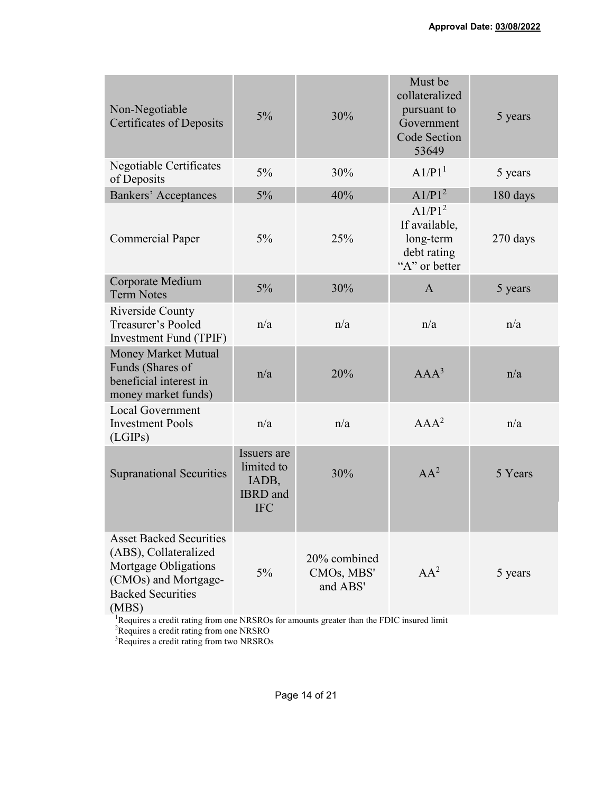| Non-Negotiable<br>Certificates of Deposits                                                                                                                                                                             | $5\%$                                                               | 30%                                    | Must be<br>collateralized<br>pursuant to<br>Government<br>Code Section<br>53649  | 5 years    |  |  |
|------------------------------------------------------------------------------------------------------------------------------------------------------------------------------------------------------------------------|---------------------------------------------------------------------|----------------------------------------|----------------------------------------------------------------------------------|------------|--|--|
| Negotiable Certificates<br>of Deposits                                                                                                                                                                                 | $5\%$                                                               | 30%                                    | A1/P1 <sup>1</sup>                                                               | 5 years    |  |  |
| <b>Bankers' Acceptances</b>                                                                                                                                                                                            | $5\%$                                                               | 40%                                    | A1/P1 <sup>2</sup>                                                               | 180 days   |  |  |
| <b>Commercial Paper</b>                                                                                                                                                                                                | 5%                                                                  | 25%                                    | A1/P1 <sup>2</sup><br>If available,<br>long-term<br>debt rating<br>"A" or better | $270$ days |  |  |
| Corporate Medium<br><b>Term Notes</b>                                                                                                                                                                                  | $5\%$                                                               | 30%                                    | $\mathbf{A}$                                                                     | 5 years    |  |  |
| Riverside County<br>Treasurer's Pooled<br>Investment Fund (TPIF)                                                                                                                                                       | n/a                                                                 | n/a                                    | n/a                                                                              | n/a        |  |  |
| <b>Money Market Mutual</b><br>Funds (Shares of<br>beneficial interest in<br>money market funds)                                                                                                                        | n/a                                                                 | 20%                                    | $AAA^3$                                                                          | n/a        |  |  |
| <b>Local Government</b><br><b>Investment Pools</b><br>(LGIPs)                                                                                                                                                          | n/a                                                                 | n/a                                    | $AAA^2$                                                                          | n/a        |  |  |
| <b>Supranational Securities</b>                                                                                                                                                                                        | Issuers are<br>limited to<br>IADB,<br><b>IBRD</b> and<br><b>IFC</b> | 30%                                    | $AA^2$                                                                           | 5 Years    |  |  |
| <b>Asset Backed Securities</b><br>(ABS), Collateralized<br>Mortgage Obligations<br>(CMOs) and Mortgage-<br><b>Backed Securities</b><br>(MBS)                                                                           | $5\%$                                                               | 20% combined<br>CMOs, MBS'<br>and ABS' | $AA^2$                                                                           | 5 years    |  |  |
| <sup>1</sup> Requires a credit rating from one NRSROs for amounts greater than the FDIC insured limit<br><sup>2</sup> Requires a credit rating from one NRSRO<br><sup>3</sup> Requires a credit rating from two NRSROs |                                                                     |                                        |                                                                                  |            |  |  |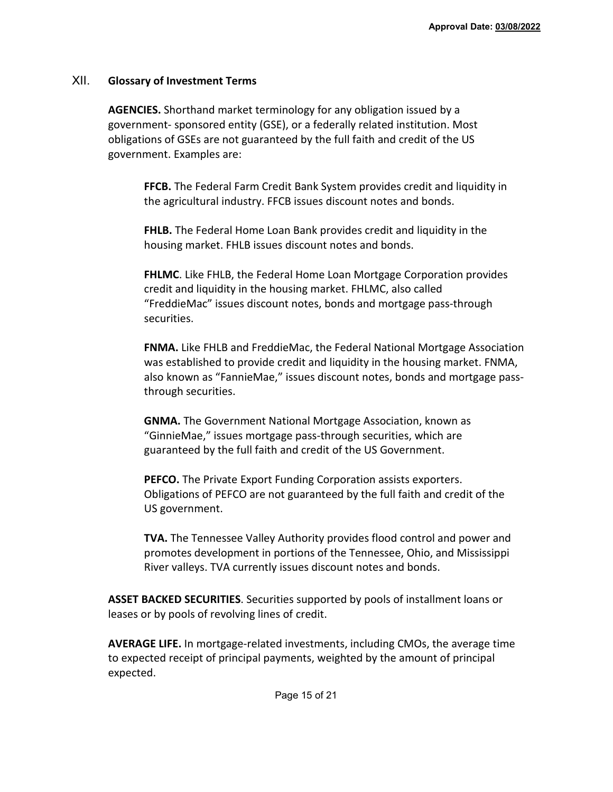## XII. **Glossary of Investment Terms**

**AGENCIES.** Shorthand market terminology for any obligation issued by a government- sponsored entity (GSE), or a federally related institution. Most obligations of GSEs are not guaranteed by the full faith and credit of the US government. Examples are:

**FFCB.** The Federal Farm Credit Bank System provides credit and liquidity in the agricultural industry. FFCB issues discount notes and bonds.

**FHLB.** The Federal Home Loan Bank provides credit and liquidity in the housing market. FHLB issues discount notes and bonds.

**FHLMC**. Like FHLB, the Federal Home Loan Mortgage Corporation provides credit and liquidity in the housing market. FHLMC, also called "FreddieMac" issues discount notes, bonds and mortgage pass-through securities.

**FNMA.** Like FHLB and FreddieMac, the Federal National Mortgage Association was established to provide credit and liquidity in the housing market. FNMA, also known as "FannieMae," issues discount notes, bonds and mortgage passthrough securities.

**GNMA.** The Government National Mortgage Association, known as "GinnieMae," issues mortgage pass-through securities, which are guaranteed by the full faith and credit of the US Government.

**PEFCO.** The Private Export Funding Corporation assists exporters. Obligations of PEFCO are not guaranteed by the full faith and credit of the US government.

**TVA.** The Tennessee Valley Authority provides flood control and power and promotes development in portions of the Tennessee, Ohio, and Mississippi River valleys. TVA currently issues discount notes and bonds.

**ASSET BACKED SECURITIES**. Securities supported by pools of installment loans or leases or by pools of revolving lines of credit.

**AVERAGE LIFE.** In mortgage-related investments, including CMOs, the average time to expected receipt of principal payments, weighted by the amount of principal expected.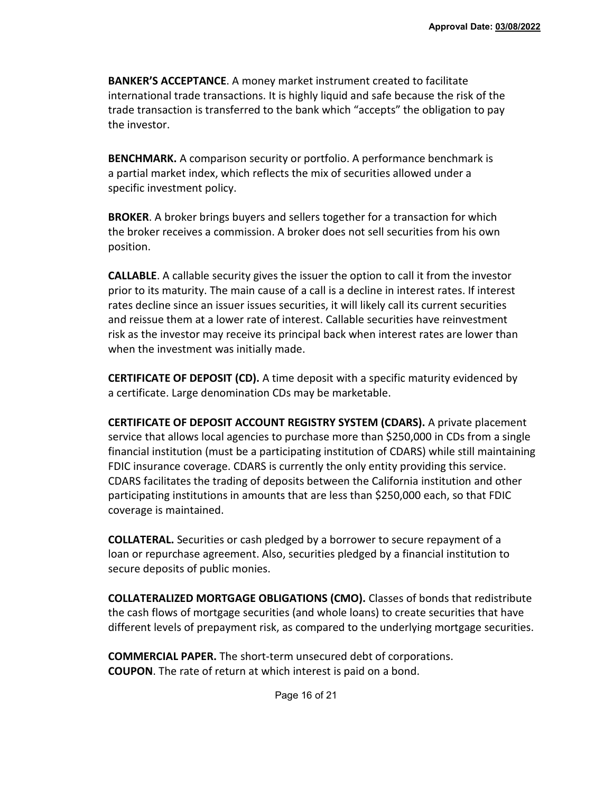**BANKER'S ACCEPTANCE**. A money market instrument created to facilitate international trade transactions. It is highly liquid and safe because the risk of the trade transaction is transferred to the bank which "accepts" the obligation to pay the investor.

**BENCHMARK.** A comparison security or portfolio. A performance benchmark is a partial market index, which reflects the mix of securities allowed under a specific investment policy.

**BROKER**. A broker brings buyers and sellers together for a transaction for which the broker receives a commission. A broker does not sell securities from his own position.

**CALLABLE**. A callable security gives the issuer the option to call it from the investor prior to its maturity. The main cause of a call is a decline in interest rates. If interest rates decline since an issuer issues securities, it will likely call its current securities and reissue them at a lower rate of interest. Callable securities have reinvestment risk as the investor may receive its principal back when interest rates are lower than when the investment was initially made.

**CERTIFICATE OF DEPOSIT (CD).** A time deposit with a specific maturity evidenced by a certificate. Large denomination CDs may be marketable.

**CERTIFICATE OF DEPOSIT ACCOUNT REGISTRY SYSTEM (CDARS).** A private placement service that allows local agencies to purchase more than \$250,000 in CDs from a single financial institution (must be a participating institution of CDARS) while still maintaining FDIC insurance coverage. CDARS is currently the only entity providing this service. CDARS facilitates the trading of deposits between the California institution and other participating institutions in amounts that are less than \$250,000 each, so that FDIC coverage is maintained.

**COLLATERAL.** Securities or cash pledged by a borrower to secure repayment of a loan or repurchase agreement. Also, securities pledged by a financial institution to secure deposits of public monies.

**COLLATERALIZED MORTGAGE OBLIGATIONS (CMO).** Classes of bonds that redistribute the cash flows of mortgage securities (and whole loans) to create securities that have different levels of prepayment risk, as compared to the underlying mortgage securities.

**COMMERCIAL PAPER.** The short-term unsecured debt of corporations. **COUPON**. The rate of return at which interest is paid on a bond.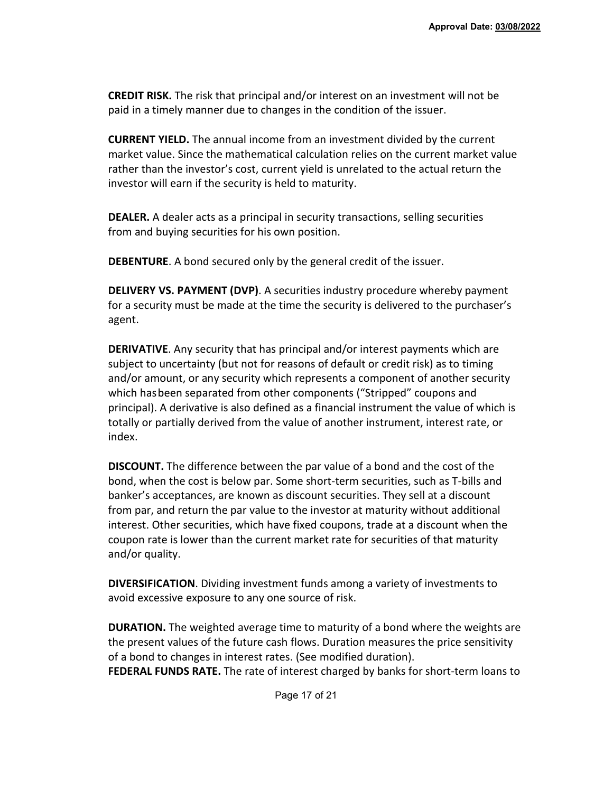**CREDIT RISK.** The risk that principal and/or interest on an investment will not be paid in a timely manner due to changes in the condition of the issuer.

**CURRENT YIELD.** The annual income from an investment divided by the current market value. Since the mathematical calculation relies on the current market value rather than the investor's cost, current yield is unrelated to the actual return the investor will earn if the security is held to maturity.

**DEALER.** A dealer acts as a principal in security transactions, selling securities from and buying securities for his own position.

**DEBENTURE**. A bond secured only by the general credit of the issuer.

**DELIVERY VS. PAYMENT (DVP)**. A securities industry procedure whereby payment for a security must be made at the time the security is delivered to the purchaser's agent.

**DERIVATIVE**. Any security that has principal and/or interest payments which are subject to uncertainty (but not for reasons of default or credit risk) as to timing and/or amount, or any security which represents a component of another security which hasbeen separated from other components ("Stripped" coupons and principal). A derivative is also defined as a financial instrument the value of which is totally or partially derived from the value of another instrument, interest rate, or index.

**DISCOUNT.** The difference between the par value of a bond and the cost of the bond, when the cost is below par. Some short-term securities, such as T-bills and banker's acceptances, are known as discount securities. They sell at a discount from par, and return the par value to the investor at maturity without additional interest. Other securities, which have fixed coupons, trade at a discount when the coupon rate is lower than the current market rate for securities of that maturity and/or quality.

**DIVERSIFICATION**. Dividing investment funds among a variety of investments to avoid excessive exposure to any one source of risk.

**DURATION.** The weighted average time to maturity of a bond where the weights are the present values of the future cash flows. Duration measures the price sensitivity of a bond to changes in interest rates. (See modified duration). **FEDERAL FUNDS RATE.** The rate of interest charged by banks for short-term loans to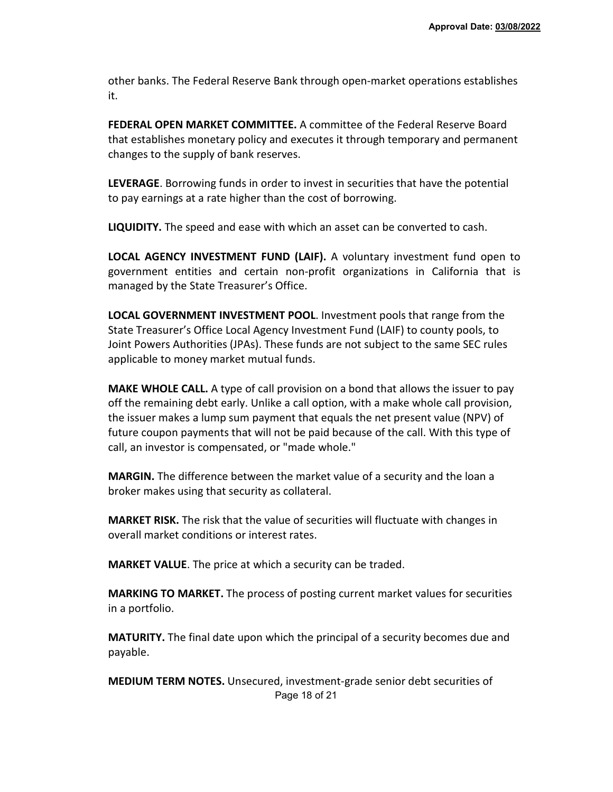other banks. The Federal Reserve Bank through open-market operations establishes it.

**FEDERAL OPEN MARKET COMMITTEE.** A committee of the Federal Reserve Board that establishes monetary policy and executes it through temporary and permanent changes to the supply of bank reserves.

**LEVERAGE**. Borrowing funds in order to invest in securities that have the potential to pay earnings at a rate higher than the cost of borrowing.

**LIQUIDITY.** The speed and ease with which an asset can be converted to cash.

**LOCAL AGENCY INVESTMENT FUND (LAIF).** A voluntary investment fund open to government entities and certain non-profit organizations in California that is managed by the State Treasurer's Office.

**LOCAL GOVERNMENT INVESTMENT POOL**. Investment pools that range from the State Treasurer's Office Local Agency Investment Fund (LAIF) to county pools, to Joint Powers Authorities (JPAs). These funds are not subject to the same SEC rules applicable to money market mutual funds.

**MAKE WHOLE CALL.** A type of call provision on a bond that allows the issuer to pay off the remaining debt early. Unlike a call option, with a make whole call provision, the issuer makes a lump sum payment that equals the net present value (NPV) of future coupon payments that will not be paid because of the call. With this type of call, an investor is compensated, or "made whole."

**MARGIN.** The difference between the market value of a security and the loan a broker makes using that security as collateral.

**MARKET RISK.** The risk that the value of securities will fluctuate with changes in overall market conditions or interest rates.

**MARKET VALUE**. The price at which a security can be traded.

**MARKING TO MARKET.** The process of posting current market values for securities in a portfolio.

**MATURITY.** The final date upon which the principal of a security becomes due and payable.

Page 18 of 21 **MEDIUM TERM NOTES.** Unsecured, investment-grade senior debt securities of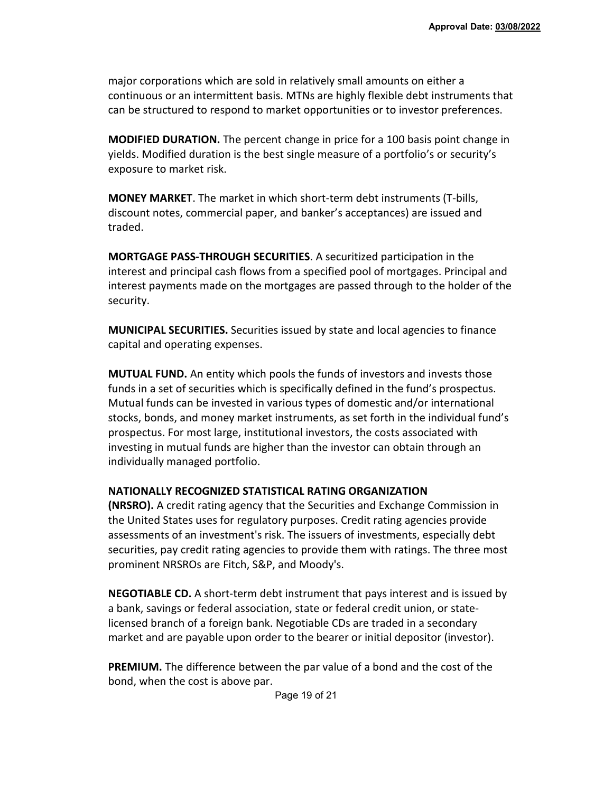major corporations which are sold in relatively small amounts on either a continuous or an intermittent basis. MTNs are highly flexible debt instruments that can be structured to respond to market opportunities or to investor preferences.

**MODIFIED DURATION.** The percent change in price for a 100 basis point change in yields. Modified duration is the best single measure of a portfolio's or security's exposure to market risk.

**MONEY MARKET**. The market in which short-term debt instruments (T-bills, discount notes, commercial paper, and banker's acceptances) are issued and traded.

**MORTGAGE PASS-THROUGH SECURITIES**. A securitized participation in the interest and principal cash flows from a specified pool of mortgages. Principal and interest payments made on the mortgages are passed through to the holder of the security.

**MUNICIPAL SECURITIES.** Securities issued by state and local agencies to finance capital and operating expenses.

**MUTUAL FUND.** An entity which pools the funds of investors and invests those funds in a set of securities which is specifically defined in the fund's prospectus. Mutual funds can be invested in various types of domestic and/or international stocks, bonds, and money market instruments, as set forth in the individual fund's prospectus. For most large, institutional investors, the costs associated with investing in mutual funds are higher than the investor can obtain through an individually managed portfolio.

#### **NATIONALLY RECOGNIZED STATISTICAL RATING ORGANIZATION**

**(NRSRO).** A credit rating agency that the Securities and Exchange Commission in the United States uses for regulatory purposes. Credit rating agencies provide assessments of an investment's risk. The issuers of investments, especially debt securities, pay credit rating agencies to provide them with ratings. The three most prominent NRSROs are Fitch, S&P, and Moody's.

**NEGOTIABLE CD.** A short-term debt instrument that pays interest and is issued by a bank, savings or federal association, state or federal credit union, or statelicensed branch of a foreign bank. Negotiable CDs are traded in a secondary market and are payable upon order to the bearer or initial depositor (investor).

**PREMIUM.** The difference between the par value of a bond and the cost of the bond, when the cost is above par.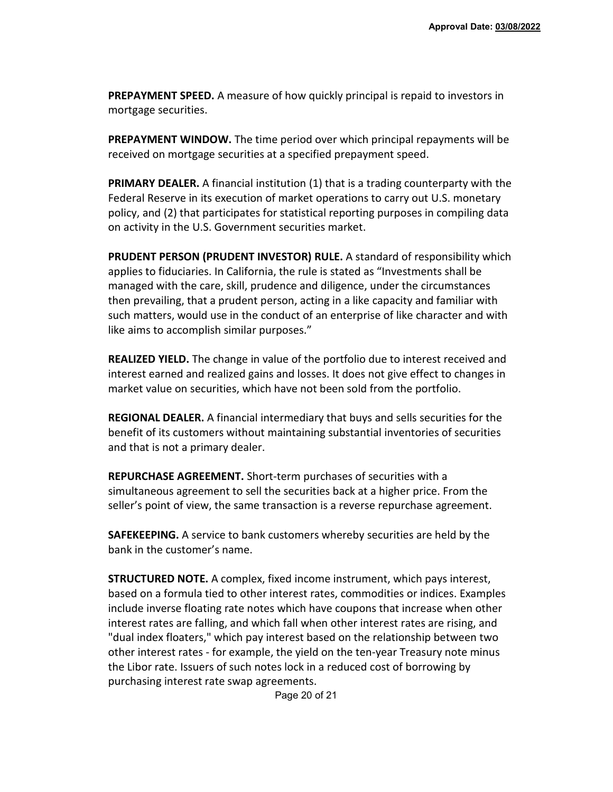**PREPAYMENT SPEED.** A measure of how quickly principal is repaid to investors in mortgage securities.

**PREPAYMENT WINDOW.** The time period over which principal repayments will be received on mortgage securities at a specified prepayment speed.

**PRIMARY DEALER.** A financial institution (1) that is a trading counterparty with the Federal Reserve in its execution of market operations to carry out U.S. monetary policy, and (2) that participates for statistical reporting purposes in compiling data on activity in the U.S. Government securities market.

**PRUDENT PERSON (PRUDENT INVESTOR) RULE.** A standard of responsibility which applies to fiduciaries. In California, the rule is stated as "Investments shall be managed with the care, skill, prudence and diligence, under the circumstances then prevailing, that a prudent person, acting in a like capacity and familiar with such matters, would use in the conduct of an enterprise of like character and with like aims to accomplish similar purposes."

**REALIZED YIELD.** The change in value of the portfolio due to interest received and interest earned and realized gains and losses. It does not give effect to changes in market value on securities, which have not been sold from the portfolio.

**REGIONAL DEALER.** A financial intermediary that buys and sells securities for the benefit of its customers without maintaining substantial inventories of securities and that is not a primary dealer.

**REPURCHASE AGREEMENT.** Short-term purchases of securities with a simultaneous agreement to sell the securities back at a higher price. From the seller's point of view, the same transaction is a reverse repurchase agreement.

**SAFEKEEPING.** A service to bank customers whereby securities are held by the bank in the customer's name.

**STRUCTURED NOTE.** A complex, fixed income instrument, which pays interest, based on a formula tied to other interest rates, commodities or indices. Examples include inverse floating rate notes which have coupons that increase when other interest rates are falling, and which fall when other interest rates are rising, and "dual index floaters," which pay interest based on the relationship between two other interest rates - for example, the yield on the ten-year Treasury note minus the Libor rate. Issuers of such notes lock in a reduced cost of borrowing by purchasing interest rate swap agreements.

Page 20 of 21